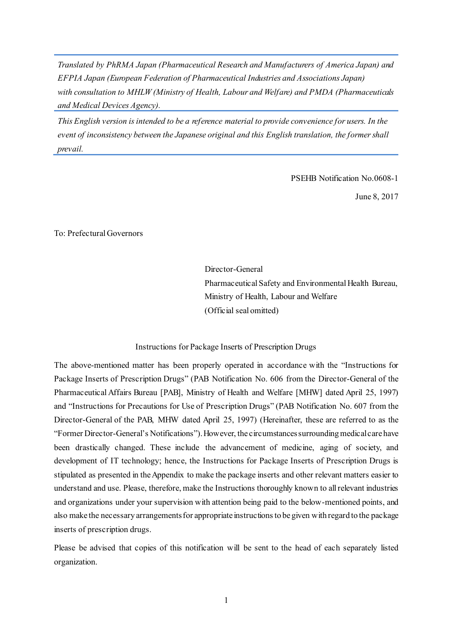*Translated by PhRMA Japan (Pharmaceutical Research and Manufacturers of America Japan) and EFPIA Japan (European Federation of Pharmaceutical Industries and Associations Japan) with consultation to MHLW (Ministry of Health, Labour and Welfare) and PMDA (Pharmaceuticals and Medical Devices Agency).*

*This English version is intended to be a reference material to provide convenience for users. In the event of inconsistency between the Japanese original and this English translation, the former shall prevail.*

PSEHB Notification No.0608-1

June 8, 2017

To: Prefectural Governors

Director-General Pharmaceutical Safety and Environmental Health Bureau, Ministry of Health, Labour and Welfare (Official seal omitted)

#### Instructions for Package Inserts of Prescription Drugs

The above-mentioned matter has been properly operated in accordance with the "Instructions for Package Inserts of Prescription Drugs" (PAB Notification No. 606 from the Director-General of the Pharmaceutical Affairs Bureau [PAB], Ministry of Health and Welfare [MHW] dated April 25, 1997) and "Instructions for Precautions for Use of Prescription Drugs" (PAB Notification No. 607 from the Director-General of the PAB, MHW dated April 25, 1997) (Hereinafter, these are referred to as the "Former Director-General's Notifications"). However, the circumstances surrounding medical care have been drastically changed. These include the advancement of medicine, aging of society, and development of IT technology; hence, the Instructions for Package Inserts of Prescription Drugs is stipulated as presented in the Appendix to make the package inserts and other relevant matters easier to understand and use. Please, therefore, make the Instructions thoroughly known to all relevant industries and organizations under your supervision with attention being paid to the below-mentioned points, and also make the necessary arrangements for appropriate instructions to be given with regard to the package inserts of prescription drugs.

Please be advised that copies of this notification will be sent to the head of each separately listed organization.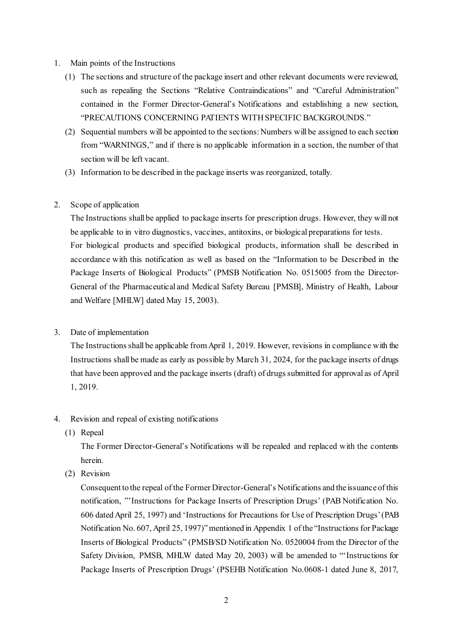### 1. Main points of the Instructions

- (1) The sections and structure of the package insert and other relevant documents were reviewed, such as repealing the Sections "Relative Contraindications" and "Careful Administration" contained in the Former Director-General's Notifications and establishing a new section, "PRECAUTIONS CONCERNING PATIENTS WITH SPECIFIC BACKGROUNDS."
- (2) Sequential numbers will be appointed to the sections: Numbers will be assigned to each section from "WARNINGS," and if there is no applicable information in a section, the number of that section will be left vacant.
- (3) Information to be described in the package inserts was reorganized, totally.

# 2. Scope of application

The Instructions shall be applied to package inserts for prescription drugs. However, they will not be applicable to in vitro diagnostics, vaccines, antitoxins, or biological preparations for tests. For biological products and specified biological products, information shall be described in accordance with this notification as well as based on the "Information to be Described in the Package Inserts of Biological Products" (PMSB Notification No. 0515005 from the Director-General of the Pharmaceutical and Medical Safety Bureau [PMSB], Ministry of Health, Labour and Welfare [MHLW] dated May 15, 2003).

## 3. Date of implementation

The Instructions shall be applicable from April 1, 2019. However, revisions in compliance with the Instructions shall be made as early as possible by March 31, 2024, for the package inserts of drugs that have been approved and the package inserts (draft) of drugs submitted for approval as of April 1, 2019.

## 4. Revision and repeal of existing notifications

(1) Repeal

The Former Director-General's Notifications will be repealed and replaced with the contents herein.

(2) Revision

Consequent to the repeal of the Former Director-General's Notifications and the issuance of this notification, "'Instructions for Package Inserts of Prescription Drugs' (PAB Notification No. 606 dated April 25, 1997) and 'Instructions for Precautions for Use of Prescription Drugs' (PAB Notification No. 607, April 25, 1997)" mentioned in Appendix 1 of the "Instructions for Package Inserts of Biological Products" (PMSB/SD Notification No. 0520004 from the Director of the Safety Division, PMSB, MHLW dated May 20, 2003) will be amended to "'Instructions for Package Inserts of Prescription Drugs' (PSEHB Notification No.0608-1 dated June 8, 2017,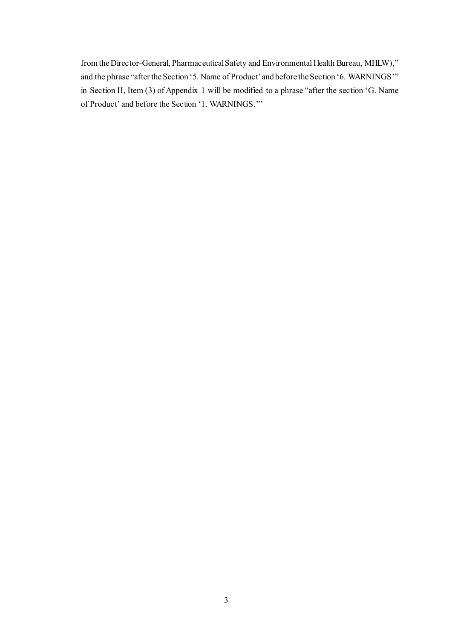from the Director-General, Pharmaceutical Safety and Environmental Health Bureau, MHLW)," and the phrase "after the Section '5. Name of Product' and before the Section '6. WARNINGS'" in Section II, Item (3) of Appendix 1 will be modified to a phrase "after the section 'G. Name of Product' and before the Section '1. WARNINGS.'"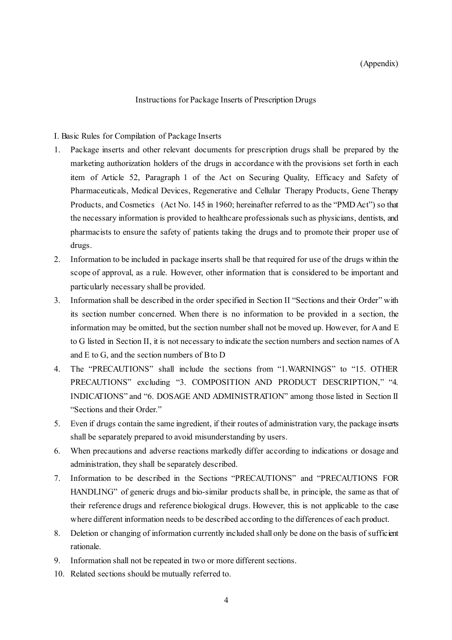#### Instructions for Package Inserts of Prescription Drugs

#### I. Basic Rules for Compilation of Package Inserts

- 1. Package inserts and other relevant documents for prescription drugs shall be prepared by the marketing authorization holders of the drugs in accordance with the provisions set forth in each item of Article 52, Paragraph 1 of the Act on Securing Quality, Efficacy and Safety of Pharmaceuticals, Medical Devices, Regenerative and Cellular Therapy Products, Gene Therapy Products, and Cosmetics (Act No. 145 in 1960; hereinafter referred to as the "PMD Act") so that the necessary information is provided to healthcare professionals such as physicians, dentists, and pharmacists to ensure the safety of patients taking the drugs and to promote their proper use of drugs.
- 2. Information to be included in package inserts shall be that required for use of the drugs within the scope of approval, as a rule. However, other information that is considered to be important and particularly necessary shall be provided.
- 3. Information shall be described in the order specified in Section II "Sections and their Order" with its section number concerned. When there is no information to be provided in a section, the information may be omitted, but the section number shall not be moved up. However, for A and E to G listed in Section II, it is not necessary to indicate the section numbers and section names of A and E to G, and the section numbers of B to D
- 4. The "PRECAUTIONS" shall include the sections from "1.WARNINGS" to "15. OTHER PRECAUTIONS" excluding "3. COMPOSITION AND PRODUCT DESCRIPTION," "4. INDICATIONS" and "6. DOSAGE AND ADMINISTRATION" among those listed in Section II "Sections and their Order."
- 5. Even if drugs contain the same ingredient, if their routes of administration vary, the package inserts shall be separately prepared to avoid misunderstanding by users.
- 6. When precautions and adverse reactions markedly differ according to indications or dosage and administration, they shall be separately described.
- 7. Information to be described in the Sections "PRECAUTIONS" and "PRECAUTIONS FOR HANDLING" of generic drugs and bio-similar products shall be, in principle, the same as that of their reference drugs and reference biological drugs. However, this is not applicable to the case where different information needs to be described according to the differences of each product.
- 8. Deletion or changing of information currently included shall only be done on the basis of sufficient rationale.
- 9. Information shall not be repeated in two or more different sections.
- 10. Related sections should be mutually referred to.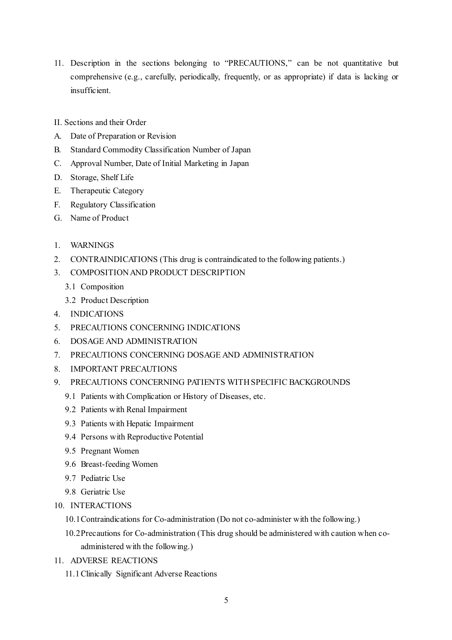- 11. Description in the sections belonging to "PRECAUTIONS," can be not quantitative but comprehensive (e.g., carefully, periodically, frequently, or as appropriate) if data is lacking or insufficient.
- II. Sections and their Order
- A. Date of Preparation or Revision
- B. Standard Commodity Classification Number of Japan
- C. Approval Number, Date of Initial Marketing in Japan
- D. Storage, Shelf Life
- E. Therapeutic Category
- F. Regulatory Classification
- G. Name of Product
- 1. WARNINGS
- 2. CONTRAINDICATIONS (This drug is contraindicated to the following patients.)
- 3. COMPOSITION AND PRODUCT DESCRIPTION
	- 3.1 Composition
	- 3.2 Product Description
- 4. INDICATIONS
- 5. PRECAUTIONS CONCERNING INDICATIONS
- 6. DOSAGE AND ADMINISTRATION
- 7. PRECAUTIONS CONCERNING DOSAGE AND ADMINISTRATION
- 8. IMPORTANT PRECAUTIONS
- 9. PRECAUTIONS CONCERNING PATIENTS WITH SPECIFIC BACKGROUNDS
	- 9.1 Patients with Complication or History of Diseases, etc.
	- 9.2 Patients with Renal Impairment
	- 9.3 Patients with Hepatic Impairment
	- 9.4 Persons with Reproductive Potential
	- 9.5 Pregnant Women
	- 9.6 Breast-feeding Women
	- 9.7 Pediatric Use
	- 9.8 Geriatric Use
- 10. INTERACTIONS
	- 10.1Contraindications for Co-administration (Do not co-administer with the following.)
	- 10.2Precautions for Co-administration (This drug should be administered with caution when coadministered with the following.)
- 11. ADVERSE REACTIONS
	- 11.1Clinically Significant Adverse Reactions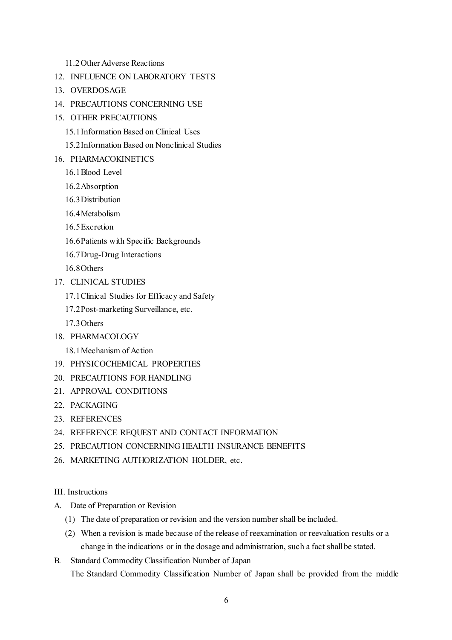### 11.2Other Adverse Reactions

- 12. INFLUENCE ON LABORATORY TESTS
- 13. OVERDOSAGE
- 14. PRECAUTIONS CONCERNING USE
- 15. OTHER PRECAUTIONS
	- 15.1Information Based on Clinical Uses
	- 15.2Information Based on Nonclinical Studies
- 16. PHARMACOKINETICS
	- 16.1Blood Level
	- 16.2Absorption
	- 16.3Distribution
	- 16.4Metabolism
	- 16.5Excretion
	- 16.6Patients with Specific Backgrounds
	- 16.7Drug-Drug Interactions

16.8Others

- 17. CLINICAL STUDIES
	- 17.1Clinical Studies for Efficacy and Safety
	- 17.2Post-marketing Surveillance, etc.
	- 17.3Others
- 18. PHARMACOLOGY
	- 18.1Mechanism of Action
- 19. PHYSICOCHEMICAL PROPERTIES
- 20. PRECAUTIONS FOR HANDLING
- 21. APPROVAL CONDITIONS
- 22. PACKAGING
- 23. REFERENCES
- 24. REFERENCE REQUEST AND CONTACT INFORMATION
- 25. PRECAUTION CONCERNING HEALTH INSURANCE BENEFITS
- 26. MARKETING AUTHORIZATION HOLDER, etc.
- III. Instructions
- A. Date of Preparation or Revision
	- (1) The date of preparation or revision and the version number shall be included.
	- (2) When a revision is made because of the release of reexamination or reevaluation results or a change in the indications or in the dosage and administration, such a fact shall be stated.
- B. Standard Commodity Classification Number of Japan The Standard Commodity Classification Number of Japan shall be provided from the middle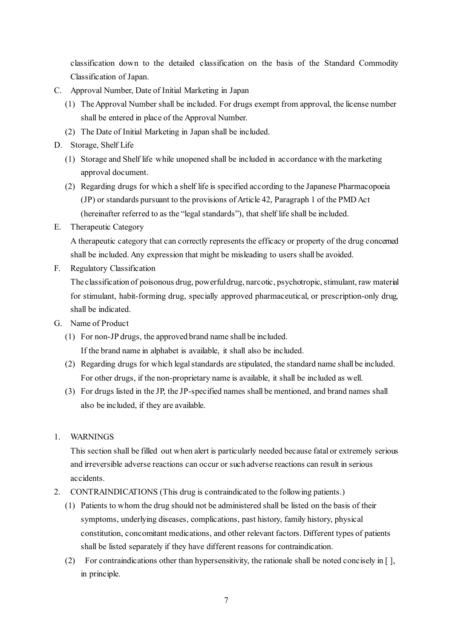classification down to the detailed classification on the basis of the Standard Commodity Classification of Japan.

- C. Approval Number, Date of Initial Marketing in Japan
	- (1) The Approval Number shall be included. For drugs exempt from approval, the license number shall be entered in place of the Approval Number.
	- (2) The Date of Initial Marketing in Japan shall be included.
- D. Storage, Shelf Life
	- (1) Storage and Shelf life while unopened shall be included in accordance with the marketing approval document.
	- (2) Regarding drugs for which a shelf life is specified according to the Japanese Pharmacopoeia (JP) or standards pursuant to the provisions of Article 42, Paragraph 1 of the PMD Act (hereinafter referred to as the "legal standards"), that shelf life shall be included.
- E. Therapeutic Category

A therapeutic category that can correctly represents the efficacy or property of the drug concerned shall be included. Any expression that might be misleading to users shall be avoided.

F. Regulatory Classification

The classification of poisonous drug, powerful drug, narcotic, psychotropic, stimulant, raw material for stimulant, habit-forming drug, specially approved pharmaceutical, or prescription-only drug, shall be indicated.

- G. Name of Product
	- (1) For non-JP drugs, the approved brand name shall be included. If the brand name in alphabet is available, it shall also be included.
	- (2) Regarding drugs for which legal standards are stipulated, the standard name shall be included. For other drugs, if the non-proprietary name is available, it shall be included as well.
	- (3) For drugs listed in the JP, the JP-specified names shall be mentioned, and brand names shall also be included, if they are available.
- 1. WARNINGS

This section shall be filled out when alert is particularly needed because fatal or extremely serious and irreversible adverse reactions can occur or such adverse reactions can result in serious accidents.

- 2. CONTRAINDICATIONS (This drug is contraindicated to the following patients.)
	- (1) Patients to whom the drug should not be administered shall be listed on the basis of their symptoms, underlying diseases, complications, past history, family history, physical constitution, concomitant medications, and other relevant factors. Different types of patients shall be listed separately if they have different reasons for contraindication.
	- (2) For contraindications other than hypersensitivity, the rationale shall be noted concisely in  $\lceil \cdot \rceil$ , in principle.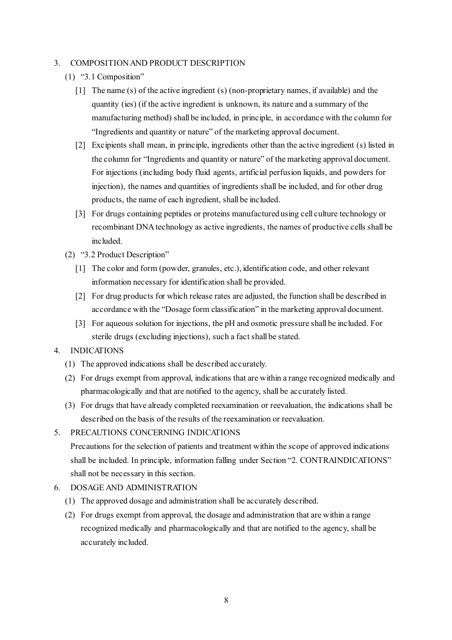### 3. COMPOSITION AND PRODUCT DESCRIPTION

- (1) "3.1 Composition"
	- [1] The name (s) of the active ingredient (s) (non-proprietary names, if available) and the quantity (ies) (if the active ingredient is unknown, its nature and a summary of the manufacturing method) shall be included, in principle, in accordance with the column for "Ingredients and quantity or nature" of the marketing approval document.
	- [2] Excipients shall mean, in principle, ingredients other than the active ingredient (s) listed in the column for "Ingredients and quantity or nature" of the marketing approval document. For injections (including body fluid agents, artificial perfusion liquids, and powders for injection), the names and quantities of ingredients shall be included, and for other drug products, the name of each ingredient, shall be included.
	- [3] For drugs containing peptides or proteins manufactured using cell culture technology or recombinant DNA technology as active ingredients, the names of productive cells shall be included.
- (2) "3.2 Product Description"
	- [1] The color and form (powder, granules, etc.), identification code, and other relevant information necessary for identification shall be provided.
	- [2] For drug products for which release rates are adjusted, the function shall be described in accordance with the "Dosage form classification" in the marketing approval document.
	- [3] For aqueous solution for injections, the pH and osmotic pressure shall be included. For sterile drugs (excluding injections), such a fact shall be stated.

#### 4. INDICATIONS

- (1) The approved indications shall be described accurately.
- (2) For drugs exempt from approval, indications that are within a range recognized medically and pharmacologically and that are notified to the agency, shall be accurately listed.
- (3) For drugs that have already completed reexamination or reevaluation, the indications shall be described on the basis of the results of the reexamination or reevaluation.

#### 5. PRECAUTIONS CONCERNING INDICATIONS

Precautions for the selection of patients and treatment within the scope of approved indications shall be included. In principle, information falling under Section "2. CONTRAINDICATIONS" shall not be necessary in this section.

- 6. DOSAGE AND ADMINISTRATION
	- (1) The approved dosage and administration shall be accurately described.
	- (2) For drugs exempt from approval, the dosage and administration that are within a range recognized medically and pharmacologically and that are notified to the agency, shall be accurately included.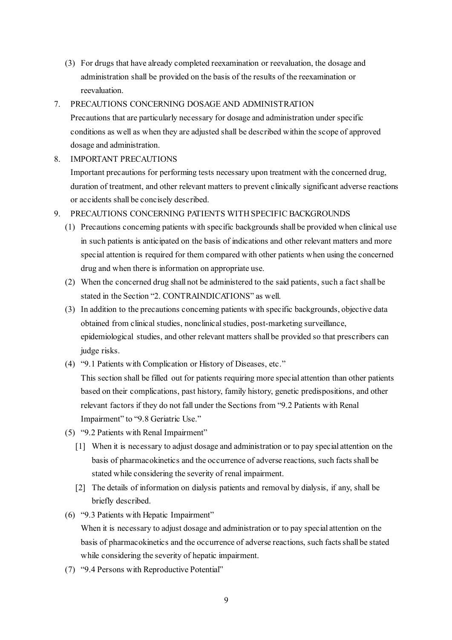(3) For drugs that have already completed reexamination or reevaluation, the dosage and administration shall be provided on the basis of the results of the reexamination or reevaluation.

## 7. PRECAUTIONS CONCERNING DOSAGE AND ADMINISTRATION

Precautions that are particularly necessary for dosage and administration under specific conditions as well as when they are adjusted shall be described within the scope of approved dosage and administration.

### 8. IMPORTANT PRECAUTIONS

Important precautions for performing tests necessary upon treatment with the concerned drug, duration of treatment, and other relevant matters to prevent clinically significant adverse reactions or accidents shall be concisely described.

## 9. PRECAUTIONS CONCERNING PATIENTS WITH SPECIFIC BACKGROUNDS

- (1) Precautions concerning patients with specific backgrounds shall be provided when clinical use in such patients is anticipated on the basis of indications and other relevant matters and more special attention is required for them compared with other patients when using the concerned drug and when there is information on appropriate use.
- (2) When the concerned drug shall not be administered to the said patients, such a fact shall be stated in the Section "2. CONTRAINDICATIONS" as well.
- (3) In addition to the precautions concerning patients with specific backgrounds, objective data obtained from clinical studies, nonclinical studies, post-marketing surveillance, epidemiological studies, and other relevant matters shall be provided so that prescribers can judge risks.
- (4) "9.1 Patients with Complication or History of Diseases, etc."

This section shall be filled out for patients requiring more special attention than other patients based on their complications, past history, family history, genetic predispositions, and other relevant factors if they do not fall under the Sections from "9.2 Patients with Renal Impairment" to "9.8 Geriatric Use."

- (5) "9.2 Patients with Renal Impairment"
	- [1] When it is necessary to adjust dosage and administration or to pay special attention on the basis of pharmacokinetics and the occurrence of adverse reactions, such facts shall be stated while considering the severity of renal impairment.
	- [2] The details of information on dialysis patients and removal by dialysis, if any, shall be briefly described.
- (6) "9.3 Patients with Hepatic Impairment"

When it is necessary to adjust dosage and administration or to pay special attention on the basis of pharmacokinetics and the occurrence of adverse reactions, such facts shall be stated while considering the severity of hepatic impairment.

(7) "9.4 Persons with Reproductive Potential"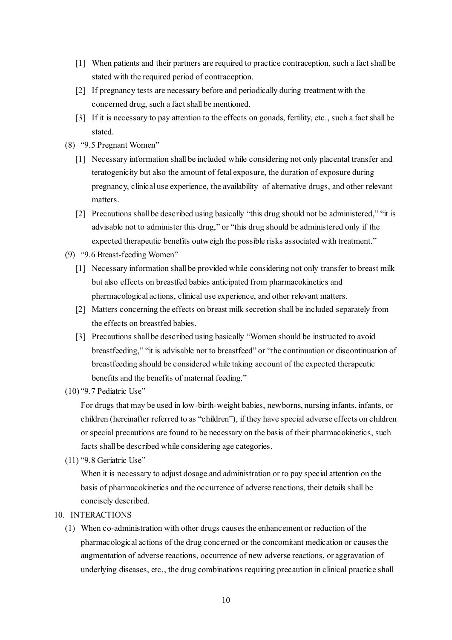- [1] When patients and their partners are required to practice contraception, such a fact shall be stated with the required period of contraception.
- [2] If pregnancy tests are necessary before and periodically during treatment with the concerned drug, such a fact shall be mentioned.
- [3] If it is necessary to pay attention to the effects on gonads, fertility, etc., such a fact shall be stated.
- (8) "9.5 Pregnant Women"
	- [1] Necessary information shall be included while considering not only placental transfer and teratogenicity but also the amount of fetal exposure, the duration of exposure during pregnancy, clinical use experience, the availability of alternative drugs, and other relevant matters.
	- [2] Precautions shall be described using basically "this drug should not be administered," "it is advisable not to administer this drug," or "this drug should be administered only if the expected therapeutic benefits outweigh the possible risks associated with treatment."
- (9) "9.6 Breast-feeding Women"
	- [1] Necessary information shall be provided while considering not only transfer to breast milk but also effects on breastfed babies anticipated from pharmacokinetics and pharmacological actions, clinical use experience, and other relevant matters.
	- [2] Matters concerning the effects on breast milk secretion shall be included separately from the effects on breastfed babies.
	- [3] Precautions shall be described using basically "Women should be instructed to avoid breastfeeding," "it is advisable not to breastfeed" or "the continuation or discontinuation of breastfeeding should be considered while taking account of the expected therapeutic benefits and the benefits of maternal feeding."
- (10) "9.7 Pediatric Use"

For drugs that may be used in low-birth-weight babies, newborns, nursing infants, infants, or children (hereinafter referred to as "children"), if they have special adverse effects on children or special precautions are found to be necessary on the basis of their pharmacokinetics, such facts shall be described while considering age categories.

(11) "9.8 Geriatric Use"

When it is necessary to adjust dosage and administration or to pay special attention on the basis of pharmacokinetics and the occurrence of adverse reactions, their details shall be concisely described.

### 10. INTERACTIONS

(1) When co-administration with other drugs causes the enhancement or reduction of the pharmacological actions of the drug concerned or the concomitant medication or causes the augmentation of adverse reactions, occurrence of new adverse reactions, or aggravation of underlying diseases, etc., the drug combinations requiring precaution in clinical practice shall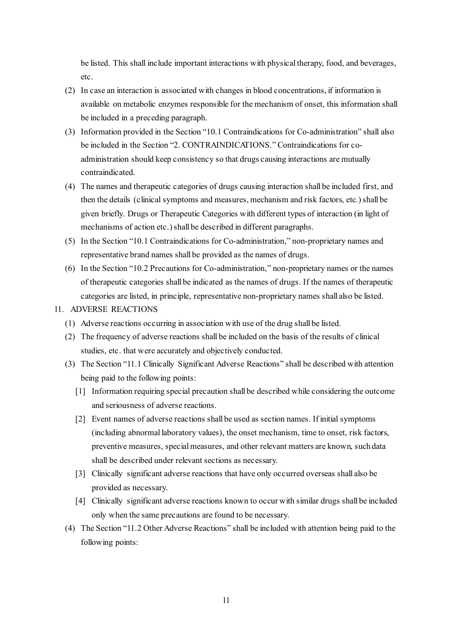be listed. This shall include important interactions with physical therapy, food, and beverages, etc.

- (2) In case an interaction is associated with changes in blood concentrations, if information is available on metabolic enzymes responsible for the mechanism of onset, this information shall be included in a preceding paragraph.
- (3) Information provided in the Section "10.1 Contraindications for Co-administration" shall also be included in the Section "2. CONTRAINDICATIONS." Contraindications for coadministration should keep consistency so that drugs causing interactions are mutually contraindicated.
- (4) The names and therapeutic categories of drugs causing interaction shall be included first, and then the details (clinical symptoms and measures, mechanism and risk factors, etc.) shall be given briefly. Drugs or Therapeutic Categories with different types of interaction (in light of mechanisms of action etc.) shall be described in different paragraphs.
- (5) In the Section "10.1 Contraindications for Co-administration," non-proprietary names and representative brand names shall be provided as the names of drugs.
- (6) In the Section "10.2 Precautions for Co-administration," non-proprietary names or the names of therapeutic categories shall be indicated as the names of drugs. If the names of therapeutic categories are listed, in principle, representative non-proprietary names shall also be listed.

#### 11. ADVERSE REACTIONS

- (1) Adverse reactions occurring in association with use of the drug shall be listed.
- (2) The frequency of adverse reactions shall be included on the basis of the results of clinical studies, etc. that were accurately and objectively conducted.
- (3) The Section "11.1 Clinically Significant Adverse Reactions" shall be described with attention being paid to the following points:
	- [1] Information requiring special precaution shall be described while considering the outcome and seriousness of adverse reactions.
	- [2] Event names of adverse reactions shall be used as section names. If initial symptoms (including abnormal laboratory values), the onset mechanism, time to onset, risk factors, preventive measures, special measures, and other relevant matters are known, such data shall be described under relevant sections as necessary.
	- [3] Clinically significant adverse reactions that have only occurred overseas shall also be provided as necessary.
	- [4] Clinically significant adverse reactions known to occur with similar drugs shall be included only when the same precautions are found to be necessary.
- (4) The Section "11.2 Other Adverse Reactions" shall be included with attention being paid to the following points: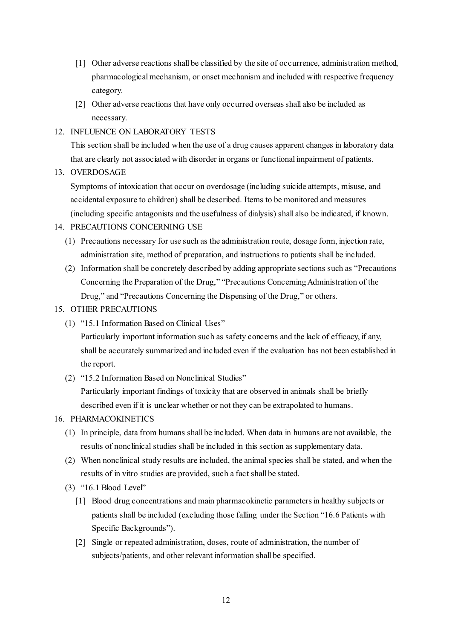- [1] Other adverse reactions shall be classified by the site of occurrence, administration method, pharmacological mechanism, or onset mechanism and included with respective frequency category.
- [2] Other adverse reactions that have only occurred overseas shall also be included as necessary.
- 12. INFLUENCE ON LABORATORY TESTS

This section shall be included when the use of a drug causes apparent changes in laboratory data that are clearly not associated with disorder in organs or functional impairment of patients.

13. OVERDOSAGE

Symptoms of intoxication that occur on overdosage (including suicide attempts, misuse, and accidental exposure to children) shall be described. Items to be monitored and measures (including specific antagonists and the usefulness of dialysis) shall also be indicated, if known.

- 14. PRECAUTIONS CONCERNING USE
	- (1) Precautions necessary for use such as the administration route, dosage form, injection rate, administration site, method of preparation, and instructions to patients shall be included.
	- (2) Information shall be concretely described by adding appropriate sections such as "Precautions Concerning the Preparation of the Drug," "Precautions Concerning Administration of the Drug," and "Precautions Concerning the Dispensing of the Drug," or others.

## 15. OTHER PRECAUTIONS

(1) "15.1 Information Based on Clinical Uses"

Particularly important information such as safety concerns and the lack of efficacy, if any, shall be accurately summarized and included even if the evaluation has not been established in the report.

(2) "15.2 Information Based on Nonclinical Studies" Particularly important findings of toxicity that are observed in animals shall be briefly described even if it is unclear whether or not they can be extrapolated to humans.

## 16. PHARMACOKINETICS

- (1) In principle, data from humans shall be included. When data in humans are not available, the results of nonclinical studies shall be included in this section as supplementary data.
- (2) When nonclinical study results are included, the animal species shall be stated, and when the results of in vitro studies are provided, such a fact shall be stated.
- (3) "16.1 Blood Level"
	- [1] Blood drug concentrations and main pharmacokinetic parameters in healthy subjects or patients shall be included (excluding those falling under the Section "16.6 Patients with Specific Backgrounds").
	- [2] Single or repeated administration, doses, route of administration, the number of subjects/patients, and other relevant information shall be specified.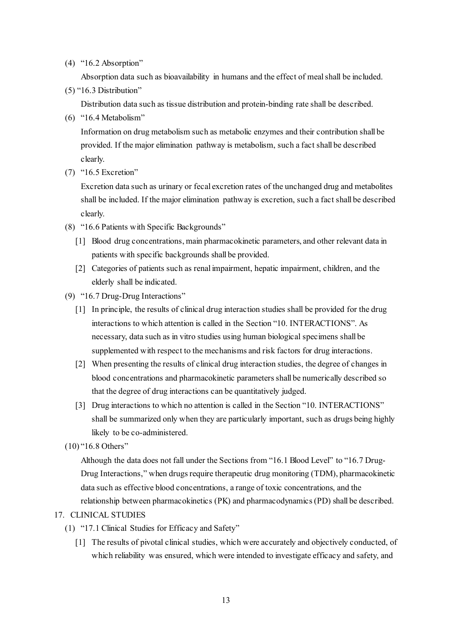(4) "16.2 Absorption"

Absorption data such as bioavailability in humans and the effect of meal shall be included.

(5) "16.3 Distribution"

Distribution data such as tissue distribution and protein-binding rate shall be described.

(6) "16.4 Metabolism"

Information on drug metabolism such as metabolic enzymes and their contribution shall be provided. If the major elimination pathway is metabolism, such a fact shall be described clearly.

(7) "16.5 Excretion"

Excretion data such as urinary or fecal excretion rates of the unchanged drug and metabolites shall be included. If the major elimination pathway is excretion, such a fact shall be described clearly.

- (8) "16.6 Patients with Specific Backgrounds"
	- [1] Blood drug concentrations, main pharmacokinetic parameters, and other relevant data in patients with specific backgrounds shall be provided.
	- [2] Categories of patients such as renal impairment, hepatic impairment, children, and the elderly shall be indicated.
- (9) "16.7 Drug-Drug Interactions"
	- [1] In principle, the results of clinical drug interaction studies shall be provided for the drug interactions to which attention is called in the Section "10. INTERACTIONS". As necessary, data such as in vitro studies using human biological specimens shall be supplemented with respect to the mechanisms and risk factors for drug interactions.
	- [2] When presenting the results of clinical drug interaction studies, the degree of changes in blood concentrations and pharmacokinetic parameters shall be numerically described so that the degree of drug interactions can be quantitatively judged.
	- [3] Drug interactions to which no attention is called in the Section "10. INTERACTIONS" shall be summarized only when they are particularly important, such as drugs being highly likely to be co-administered.
- (10) "16.8 Others"

Although the data does not fall under the Sections from "16.1 Blood Level" to "16.7 Drug-Drug Interactions," when drugs require therapeutic drug monitoring (TDM), pharmacokinetic data such as effective blood concentrations, a range of toxic concentrations, and the relationship between pharmacokinetics (PK) and pharmacodynamics (PD) shall be described.

### 17. CLINICAL STUDIES

- (1) "17.1 Clinical Studies for Efficacy and Safety"
	- [1] The results of pivotal clinical studies, which were accurately and objectively conducted, of which reliability was ensured, which were intended to investigate efficacy and safety, and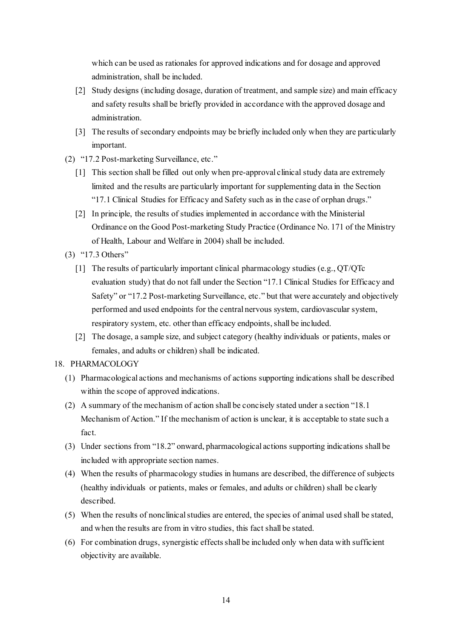which can be used as rationales for approved indications and for dosage and approved administration, shall be included.

- [2] Study designs (including dosage, duration of treatment, and sample size) and main efficacy and safety results shall be briefly provided in accordance with the approved dosage and administration.
- [3] The results of secondary endpoints may be briefly included only when they are particularly important.
- (2) "17.2 Post-marketing Surveillance, etc."
	- [1] This section shall be filled out only when pre-approval clinical study data are extremely limited and the results are particularly important for supplementing data in the Section "17.1 Clinical Studies for Efficacy and Safety such as in the case of orphan drugs."
	- [2] In principle, the results of studies implemented in accordance with the Ministerial Ordinance on the Good Post-marketing Study Practice (Ordinance No. 171 of the Ministry of Health, Labour and Welfare in 2004) shall be included.
- (3) "17.3 Others"
	- [1] The results of particularly important clinical pharmacology studies (e.g., QT/QTc evaluation study) that do not fall under the Section "17.1 Clinical Studies for Efficacy and Safety" or "17.2 Post-marketing Surveillance, etc." but that were accurately and objectively performed and used endpoints for the central nervous system, cardiovascular system, respiratory system, etc. other than efficacy endpoints, shall be included.
	- [2] The dosage, a sample size, and subject category (healthy individuals or patients, males or females, and adults or children) shall be indicated.

## 18. PHARMACOLOGY

- (1) Pharmacological actions and mechanisms of actions supporting indications shall be described within the scope of approved indications.
- (2) A summary of the mechanism of action shall be concisely stated under a section "18.1 Mechanism of Action." If the mechanism of action is unclear, it is acceptable to state such a fact.
- (3) Under sections from "18.2" onward, pharmacological actions supporting indications shall be included with appropriate section names.
- (4) When the results of pharmacology studies in humans are described, the difference of subjects (healthy individuals or patients, males or females, and adults or children) shall be clearly described.
- (5) When the results of nonclinical studies are entered, the species of animal used shall be stated, and when the results are from in vitro studies, this fact shall be stated.
- (6) For combination drugs, synergistic effects shall be included only when data with sufficient objectivity are available.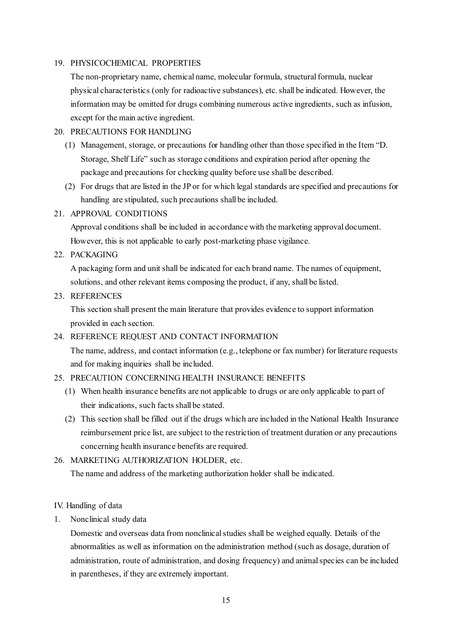### 19. PHYSICOCHEMICAL PROPERTIES

The non-proprietary name, chemical name, molecular formula, structuralformula, nuclear physical characteristics (only for radioactive substances), etc. shall be indicated. However, the information may be omitted for drugs combining numerous active ingredients, such as infusion, except for the main active ingredient.

### 20. PRECAUTIONS FOR HANDLING

- (1) Management, storage, or precautions for handling other than those specified in the Item "D. Storage, Shelf Life" such as storage conditions and expiration period after opening the package and precautions for checking quality before use shall be described.
- (2) For drugs that are listed in the JP or for which legal standards are specified and precautions for handling are stipulated, such precautions shall be included.

## 21. APPROVAL CONDITIONS

Approval conditions shall be included in accordance with the marketing approval document. However, this is not applicable to early post-marketing phase vigilance.

22. PACKAGING

A packaging form and unit shall be indicated for each brand name. The names of equipment, solutions, and other relevant items composing the product, if any, shall be listed.

### 23. REFERENCES

This section shall present the main literature that provides evidence to support information provided in each section.

## 24. REFERENCE REQUEST AND CONTACT INFORMATION

The name, address, and contact information (e.g., telephone or fax number) for literature requests and for making inquiries shall be included.

## 25. PRECAUTION CONCERNING HEALTH INSURANCE BENEFITS

- (1) When health insurance benefits are not applicable to drugs or are only applicable to part of their indications, such facts shall be stated.
- (2) This section shall be filled out if the drugs which are included in the National Health Insurance reimbursement price list, are subject to the restriction of treatment duration or any precautions concerning health insurance benefits are required.

## 26. MARKETING AUTHORIZATION HOLDER, etc.

The name and address of the marketing authorization holder shall be indicated.

### IV. Handling of data

1. Nonclinical study data

Domestic and overseas data from nonclinical studies shall be weighed equally. Details of the abnormalities as well as information on the administration method (such as dosage, duration of administration, route of administration, and dosing frequency) and animal species can be included in parentheses, if they are extremely important.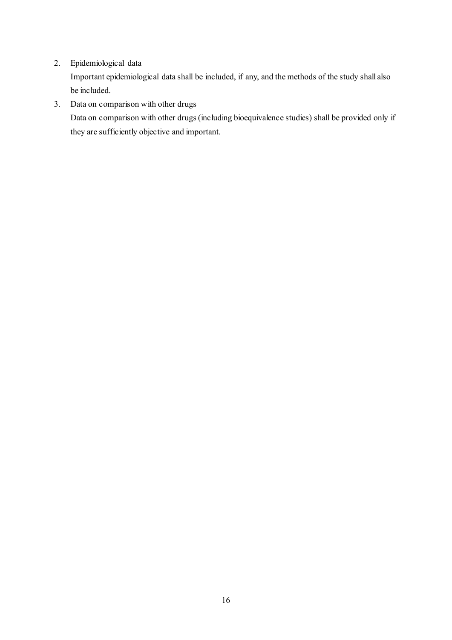2. Epidemiological data

Important epidemiological data shall be included, if any, and the methods of the study shall also be included.

3. Data on comparison with other drugs

Data on comparison with other drugs (including bioequivalence studies) shall be provided only if they are sufficiently objective and important.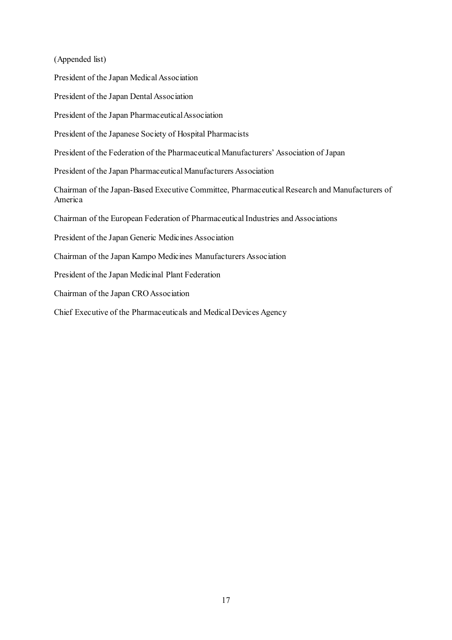(Appended list)

President of the Japan Medical Association

President of the Japan Dental Association

President of the Japan Pharmaceutical Association

President of the Japanese Society of Hospital Pharmacists

President of the Federation of the Pharmaceutical Manufacturers' Association of Japan

President of the Japan Pharmaceutical Manufacturers Association

Chairman of the Japan-Based Executive Committee, Pharmaceutical Research and Manufacturers of America

Chairman of the European Federation of Pharmaceutical Industries and Associations

President of the Japan Generic Medicines Association

Chairman of the Japan Kampo Medicines Manufacturers Association

President of the Japan Medicinal Plant Federation

Chairman of the Japan CRO Association

Chief Executive of the Pharmaceuticals and Medical Devices Agency